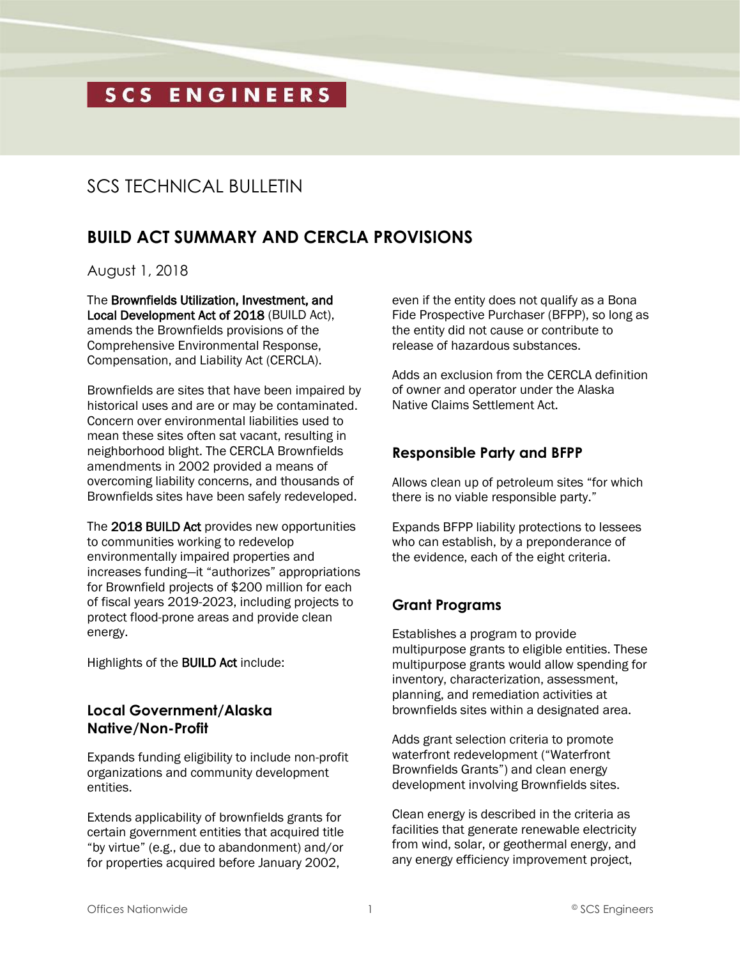# SCS ENGINEERS

## SCS TECHNICAL BULLETIN

### **BUILD ACT SUMMARY AND CERCLA PROVISIONS**

August 1, 2018

The Brownfields Utilization, Investment, and Local Development Act of 2018 (BUILD Act), amends the Brownfields provisions of the Comprehensive Environmental Response, Compensation, and Liability Act (CERCLA).

Brownfields are sites that have been impaired by historical uses and are or may be contaminated. Concern over environmental liabilities used to mean these sites often sat vacant, resulting in neighborhood blight. The CERCLA Brownfields amendments in 2002 provided a means of overcoming liability concerns, and thousands of Brownfields sites have been safely redeveloped.

The 2018 BUILD Act provides new opportunities to communities working to redevelop environmentally impaired properties and increases funding—it "authorizes" appropriations for Brownfield projects of \$200 million for each of fiscal years 2019-2023, including projects to protect flood-prone areas and provide clean energy.

Highlights of the BUILD Act include:

#### **Local Government/Alaska Native/Non-Profit**

Expands funding eligibility to include non-profit organizations and community development entities.

Extends applicability of brownfields grants for certain government entities that acquired title "by virtue" (e.g., due to abandonment) and/or for properties acquired before January 2002,

even if the entity does not qualify as a Bona Fide Prospective Purchaser (BFPP), so long as the entity did not cause or contribute to release of hazardous substances.

Adds an exclusion from the CERCLA definition of owner and operator under the Alaska Native Claims Settlement Act.

#### **Responsible Party and BFPP**

Allows clean up of petroleum sites "for which there is no viable responsible party."

Expands BFPP liability protections to lessees who can establish, by a preponderance of the evidence, each of the eight criteria.

#### **Grant Programs**

Establishes a program to provide multipurpose grants to eligible entities. These multipurpose grants would allow spending for inventory, characterization, assessment, planning, and remediation activities at brownfields sites within a designated area.

Adds grant selection criteria to promote waterfront redevelopment ("Waterfront Brownfields Grants") and clean energy development involving Brownfields sites.

Clean energy is described in the criteria as facilities that generate renewable electricity from wind, solar, or geothermal energy, and any energy efficiency improvement project,